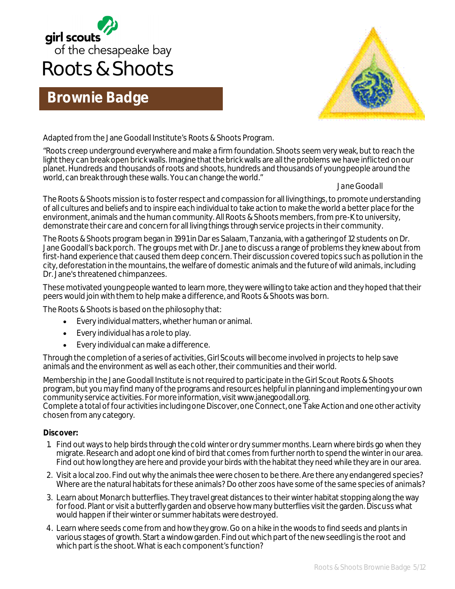

# **Brownie Badge**



Adapted from the Jane Goodall Institute's Roots & Shoots Program.

"Roots creep underground everywhere and make a firm foundation. Shoots seem very weak, but to reach the light they can break open brick walls. Imagine that the brick walls are all the problems we have inflicted on our planet. Hundreds and thousands of roots and shoots, hundreds and thousands of young people around the world, can break through these walls. You can change the world."

#### *Jane Goodall*

The Roots & Shoots mission is to foster respect and compassion for all living things, to promote understanding of all cultures and beliefs and to inspire each individual to take action to make the world a better place for the environment, animals and the human community. All Roots & Shoots members, from pre-K to university, demonstrate their care and concern for all living things through service projects in their community.

The Roots & Shoots program began in 1991 in Dar es Salaam, Tanzania, with a gathering of 12 students on Dr. Jane Goodall's back porch. The groups met with Dr. Jane to discuss a range of problems they knew about from first-hand experience that caused them deep concern. Their discussion covered topics such as pollution in the city, deforestation in the mountains, the welfare of domestic animals and the future of wild animals, including Dr. Jane's threatened chimpanzees.

These motivated young people wanted to learn more, they were willing to take action and they hoped that their peers would join with them to help make a difference, and Roots & Shoots was born.

The Roots & Shoots is based on the philosophy that:

- Every individual matters, whether human or animal.
- Every individual has a role to play.
- Every individual can make a difference.

Through the completion of a series of activities, Girl Scouts will become involved in projects to help save animals and the environment as well as each other, their communities and their world.

Membership in the Jane Goodall Institute is not required to participate in the Girl Scout Roots & Shoots program, but you may find many of the programs and resources helpful in planning and implementing your own community service activities. For more information, visit www.janegoodall.org.

Complete a total of four activities including one Discover, one Connect, one Take Action and one other activity chosen from any category.

#### **Discover:**

- 1. Find out ways to help birds through the cold winter or dry summer months. Learn where birds go when they migrate. Research and adopt one kind of bird that comes from further north to spend the winter in our area. Find out how long they are here and provide your birds with the habitat they need while they are in our area.
- 2. Visit a local zoo. Find out why the animals thee were chosen to be there. Are there any endangered species? Where are the natural habitats for these animals? Do other zoos have some of the same species of animals?
- 3. Learn about Monarch butterflies. They travel great distances to their winter habitat stopping along the way for food. Plant or visit a butterfly garden and observe how many butterflies visit the garden. Discuss what would happen if their winter or summer habitats were destroyed.
- 4. Learn where seeds come from and how they grow. Go on a hike in the woods to find seeds and plants in various stages of growth. Start a window garden. Find out which part of the new seedling is the root and which part is the shoot. What is each component's function?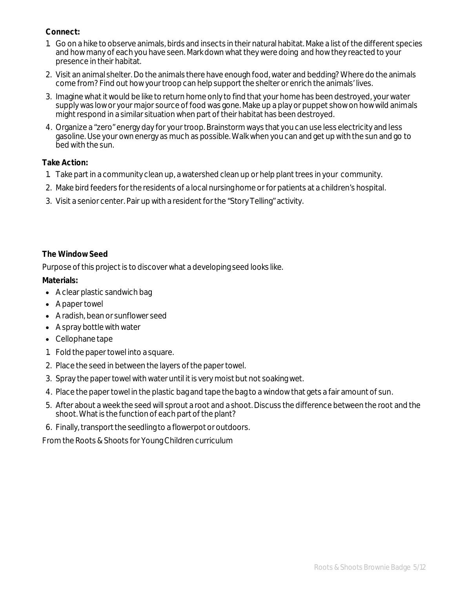### **Connect:**

- 1. Go on a hike to observe animals, birds and insects in their natural habitat. Make a list of the different species and how many of each you have seen. Mark down what they were doing and how they reacted to your presence in their habitat.
- 2. Visit an animal shelter. Do the animals there have enough food, water and bedding? Where do the animals come from? Find out how your troop can help support the shelter or enrich the animals' lives.
- 3. Imagine what it would be like to return home only to find that your home has been destroyed, your water supply was low or your major source of food was gone. Make up a play or puppet show on how wild animals might respond in a similar situation when part of their habitat has been destroyed.
- 4. Organize a "zero" energy day for your troop. Brainstorm ways that you can use less electricity and less gasoline. Use your own energy as much as possible. Walk when you can and get up with the sun and go to bed with the sun.

#### **Take Action:**

- 1. Take part in a community clean up, a watershed clean up or help plant trees in your community.
- 2. Make bird feeders for the residents of a local nursing home or for patients at a children's hospital.
- 3. Visit a senior center. Pair up with a resident for the "Story Telling" activity.

### **The Window Seed**

Purpose of this project is to discover what a developing seed looks like.

### **Materials:**

- A clear plastic sandwich bag
- A paper towel
- A radish, bean or sunflower seed
- A spray bottle with water
- Cellophane tape
- 1. Fold the paper towel into a square.
- 2. Place the seed in between the layers of the paper towel.
- 3. Spray the paper towel with water until it is very moist but not soaking wet.
- 4. Place the paper towel in the plastic bag and tape the bag to a window that gets a fair amount of sun.
- 5. After about a week the seed will sprout a root and a shoot. Discuss the difference between the root and the shoot. What is the function of each part of the plant?
- 6. Finally, transport the seedling to a flowerpot or outdoors.

From the Roots & Shoots for Young Children curriculum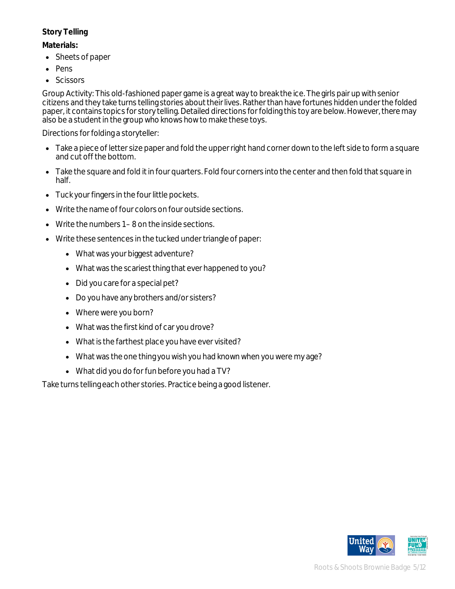# **Story Telling**

## **Materials:**

- Sheets of paper
- Pens
- Scissors

Group Activity: This old-fashioned paper game is a great way to break the ice. The girls pair up with senior citizens and they take turns telling stories about their lives. Rather than have fortunes hidden under the folded paper, it contains topics for story telling. Detailed directions for folding this toy are below. However, there may also be a student in the group who knows how to make these toys.

Directions for folding a storyteller:

- Take a piece of letter size paper and fold the upper right hand corner down to the left side to form a square and cut off the bottom.
- Take the square and fold it in four quarters. Fold four corners into the center and then fold that square in half.
- Tuck your fingers in the four little pockets.
- Write the name of four colors on four outside sections.
- Write the numbers 1 8 on the inside sections.
- Write these sentences in the tucked under triangle of paper:
	- What was your biggest adventure?
	- What was the scariest thing that ever happened to you?
	- Did you care for a special pet?
	- Do you have any brothers and/or sisters?
	- Where were you born?
	- What was the first kind of car you drove?
	- What is the farthest place you have ever visited?
	- What was the one thing you wish you had known when you were my age?
	- What did you do for fun before you had a TV?

Take turns telling each other stories. Practice being a good listener.

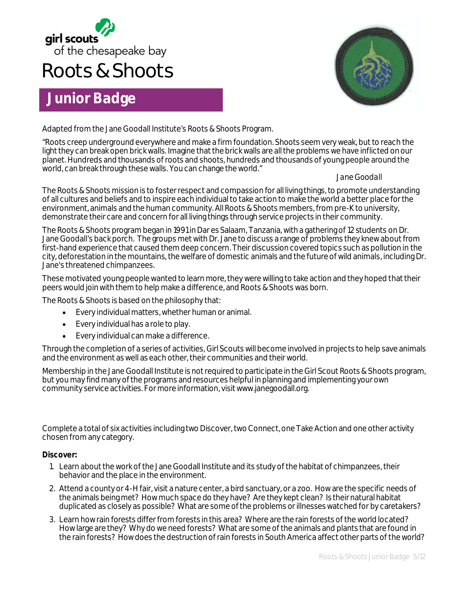

# **Roots & Shoots**

# **Junior Badge**



Adapted from the Jane Goodall Institute's Roots & Shoots Program.

"Roots creep underground everywhere and make a firm foundation. Shoots seem very weak, but to reach the light they can break open brick walls. Imagine that the brick walls are all the problems we have inflicted on our planet. Hundreds and thousands of roots and shoots, hundreds and thousands of young people around the world, can break through these walls. You can change the world."

*Jane Goodall*

The Roots & Shoots mission is to foster respect and compassion for all living things, to promote understanding of all cultures and beliefs and to inspire each individual to take action to make the world a better place for the environment, animals and the human community. All Roots & Shoots members, from pre-K to university, demonstrate their care and concern for all living things through service projects in their community.

The Roots & Shoots program began in 1991 in Dar es Salaam, Tanzania, with a gathering of 12 students on Dr. Jane Goodall's back porch. The groups met with Dr. Jane to discuss a range of problems they knew about from first-hand experience that caused them deep concern. Their discussion covered topics such as pollution in the city, deforestation in the mountains, the welfare of domestic animals and the future of wild animals, including Dr. Jane's threatened chimpanzees.

These motivated young people wanted to learn more, they were willing to take action and they hoped that their peers would join with them to help make a difference, and Roots & Shoots was born.

The Roots & Shoots is based on the philosophy that:

- Every individual matters, whether human or animal.
- Every individual has a role to play.
- Every individual can make a difference.

Through the completion of a series of activities, Girl Scouts will become involved in projects to help save animals and the environment as well as each other, their communities and their world.

Membership in the Jane Goodall Institute is not required to participate in the Girl Scout Roots & Shoots program, but you may find many of the programs and resources helpful in planning and implementing your own community service activities. For more information, visit www.janegoodall.org.

Complete a total of six activities including two Discover, two Connect, one Take Action and one other activity chosen from any category.

#### **Discover:**

- 1. Learn about the work of the Jane Goodall Institute and its study of the habitat of chimpanzees, their behavior and the place in the environment.
- 2. Attend a county or 4-H fair, visit a nature center, a bird sanctuary, or a zoo. How are the specific needs of the animals being met? How much space do they have? Are they kept clean? Is their natural habitat duplicated as closely as possible? What are some of the problems or illnesses watched for by caretakers?
- 3. Learn how rain forests differ from forests in this area? Where are the rain forests of the world located? How large are they? Why do we need forests? What are some of the animals and plants that are found in the rain forests? How does the destruction of rain forests in South America affect other parts of the world?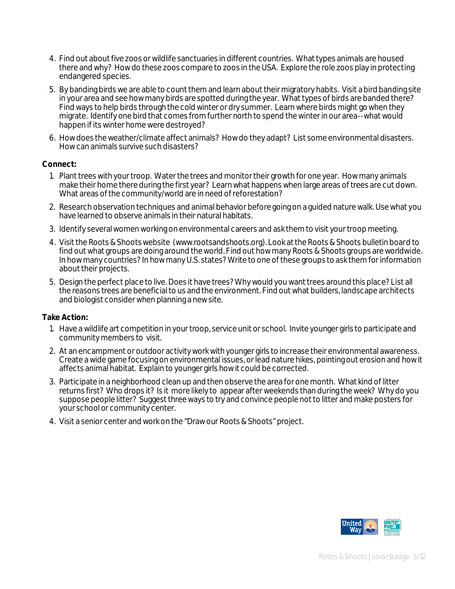- 4. Find out about five zoos or wildlife sanctuaries in different countries. What types animals are housed there and why? How do these zoos compare to zoos in the USA. Explore the role zoos play in protecting endangered species.
- 5. By banding birds we are able to count them and learn about their migratory habits. Visit a bird banding site in your area and see how many birds are spotted during the year. What types of birds are banded there? Find ways to help birds through the cold winter or dry summer. Learn where birds might go when they migrate. Identify one bird that comes from further north to spend the winter in our area--what would happen if its winter home were destroyed?
- 6. How does the weather/climate affect animals? How do they adapt? List some environmental disasters. How can animals survive such disasters?

#### **Connect:**

- 1. Plant trees with your troop. Water the trees and monitor their growth for one year. How many animals make their home there during the first year? Learn what happens when large areas of trees are cut down. What areas of the community/world are in need of reforestation?
- 2. Research observation techniques and animal behavior before going on a guided nature walk. Use what you have learned to observe animals in their natural habitats.
- 3. Identify several women working on environmental careers and ask them to visit your troop meeting.
- 4. Visit the Roots & Shoots website (www.rootsandshoots.org). Look at the Roots & Shoots bulletin board to find out what groups are doing around the world. Find out how many Roots & Shoots groups are worldwide. In how many countries? In how many U.S. states? Write to one of these groups to ask them for information about their projects.
- 5. Design the perfect place to live. Does it have trees? Why would you want trees around this place? List all the reasons trees are beneficial to us and the environment. Find out what builders, landscape architects and biologist consider when planning a new site.

#### **Take Action:**

- 1. Have a wildlife art competition in your troop, service unit or school. Invite younger girls to participate and community members to visit.
- *2.* At an encampment or outdoor activity work with younger girls to increase their environmental awareness. Create a wide game focusing on environmental issues, or lead nature hikes, pointing out erosion and how it affects animal habitat. Explain to younger girls how it could be corrected.
- *3.* Participate in a neighborhood clean up and then observe the area for one month. What kind of litter returns first? Who drops it? Is it more likely to appear after weekends than during the week? Why do you suppose people litter? Suggest three ways to try and convince people not to litter and make posters for your school or community center.
- *4.* Visit a senior center and work on the "Draw our Roots & Shoots" project.

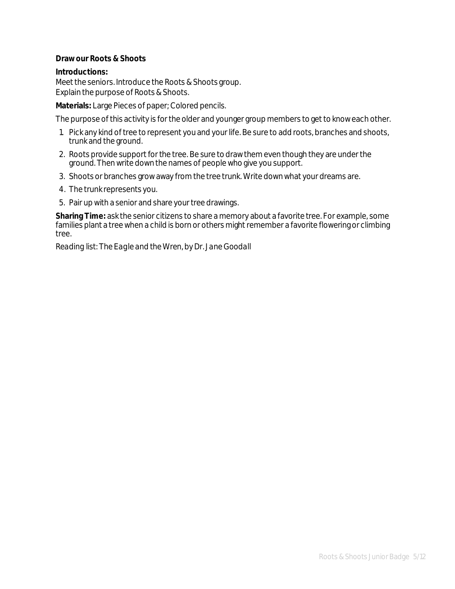#### **Draw our Roots & Shoots**

#### **Introductions:**

Meet the seniors. Introduce the Roots & Shoots group. Explain the purpose of Roots & Shoots.

**Materials:** Large Pieces of paper; Colored pencils.

The purpose of this activity is for the older and younger group members to get to know each other.

- 1. Pick any kind of tree to represent you and your life. Be sure to add roots, branches and shoots, trunk and the ground.
- 2. Roots provide support for the tree. Be sure to draw them even though they are under the ground. Then write down the names of people who give you support.
- 3. Shoots or branches grow away from the tree trunk. Write down what your dreams are.
- 4. The trunk represents you.
- 5. Pair up with a senior and share your tree drawings.

**Sharing Time:** ask the senior citizens to share a memory about a favorite tree. For example, some families plant a tree when a child is born or others might remember a favorite flowering or climbing tree.

*Reading list: The Eagle and the Wren, by Dr. Jane Goodall*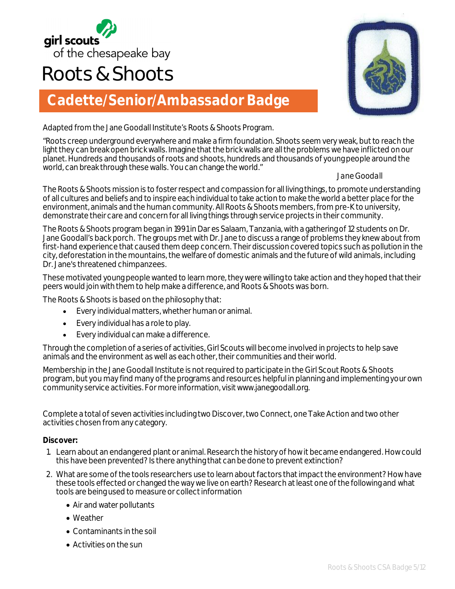

# **Roots & Shoots**

# **Cadette/Senior/Ambassador Badge**

Adapted from the Jane Goodall Institute's Roots & Shoots Program.

"Roots creep underground everywhere and make a firm foundation. Shoots seem very weak, but to reach the light they can break open brick walls. Imagine that the brick walls are all the problems we have inflicted on our planet. Hundreds and thousands of roots and shoots, hundreds and thousands of young people around the world, can break through these walls. You can change the world."

*Jane Goodall*

The Roots & Shoots mission is to foster respect and compassion for all living things, to promote understanding of all cultures and beliefs and to inspire each individual to take action to make the world a better place for the environment, animals and the human community. All Roots & Shoots members, from pre-K to university, demonstrate their care and concern for all living things through service projects in their community.

The Roots & Shoots program began in 1991 in Dar es Salaam, Tanzania, with a gathering of 12 students on Dr. Jane Goodall's back porch. The groups met with Dr. Jane to discuss a range of problems they knew about from first-hand experience that caused them deep concern. Their discussion covered topics such as pollution in the city, deforestation in the mountains, the welfare of domestic animals and the future of wild animals, including Dr. Jane's threatened chimpanzees.

These motivated young people wanted to learn more, they were willing to take action and they hoped that their peers would join with them to help make a difference, and Roots & Shoots was born.

The Roots & Shoots is based on the philosophy that:

- Every individual matters, whether human or animal.
- Every individual has a role to play.
- Every individual can make a difference.

Through the completion of a series of activities, Girl Scouts will become involved in projects to help save animals and the environment as well as each other, their communities and their world.

Membership in the Jane Goodall Institute is not required to participate in the Girl Scout Roots & Shoots program, but you may find many of the programs and resources helpful in planning and implementing your own community service activities. For more information, visit www.janegoodall.org.

Complete a total of seven activities including two Discover, two Connect, one Take Action and two other activities chosen from any category.

#### **Discover:**

- 1. Learn about an endangered plant or animal. Research the history of how it became endangered. How could this have been prevented? Is there anything that can be done to prevent extinction?
- 2. What are some of the tools researchers use to learn about factors that impact the environment? How have these tools effected or changed the way we live on earth? Research at least one of the following and what tools are being used to measure or collect information
	- Air and water pollutants
	- Weather
	- Contaminants in the soil
	- Activities on the sun